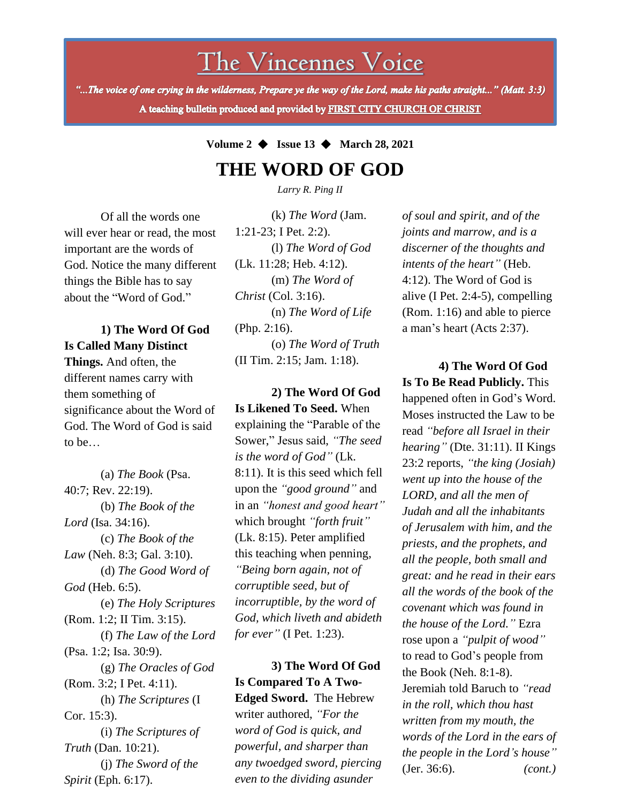The Vincennes Voice

"...The voice of one crying in the wilderness, Prepare ye the way of the Lord, make his paths straight..." (Matt. 3:3) A teaching bulletin produced and provided by FIRST CITY CHURCH OF CHRIST

## **Volume 2** ◆ **Issue 13** ◆ **March 28, 2021**

# **THE WORD OF GOD**

*Larry R. Ping II*

Of all the words one will ever hear or read, the most important are the words of God. Notice the many different things the Bible has to say about the "Word of God."

**1) The Word Of God Is Called Many Distinct Things.** And often, the different names carry with them something of significance about the Word of God. The Word of God is said to be…

(a) *The Book* (Psa. 40:7; Rev. 22:19). (b) *The Book of the Lord* (Isa. 34:16). (c) *The Book of the Law* (Neh. 8:3; Gal. 3:10). (d) *The Good Word of God* (Heb. 6:5). (e) *The Holy Scriptures*  (Rom. 1:2; II Tim. 3:15). (f) *The Law of the Lord* (Psa. 1:2; Isa. 30:9). (g) *The Oracles of God*  (Rom. 3:2; I Pet. 4:11). (h) *The Scriptures* (I Cor. 15:3). (i) *The Scriptures of Truth* (Dan. 10:21). (j) *The Sword of the Spirit* (Eph. 6:17).

(k) *The Word* (Jam. 1:21-23; I Pet. 2:2). (l) *The Word of God* (Lk. 11:28; Heb. 4:12). (m) *The Word of Christ* (Col. 3:16). (n) *The Word of Life*  (Php. 2:16). (o) *The Word of Truth* (II Tim. 2:15; Jam. 1:18).

**2) The Word Of God Is Likened To Seed.** When explaining the "Parable of the Sower," Jesus said, *"The seed is the word of God"* (Lk. 8:11). It is this seed which fell upon the *"good ground"* and in an *"honest and good heart"* which brought *"forth fruit"* (Lk. 8:15). Peter amplified this teaching when penning, *"Being born again, not of corruptible seed, but of incorruptible, by the word of God, which liveth and abideth for ever"* (I Pet. 1:23).

**3) The Word Of God Is Compared To A Two-Edged Sword.** The Hebrew writer authored, *"For the word of God is quick, and powerful, and sharper than any twoedged sword, piercing even to the dividing asunder*

*of soul and spirit, and of the joints and marrow, and is a discerner of the thoughts and intents of the heart"* (Heb. 4:12). The Word of God is alive (I Pet. 2:4-5), compelling (Rom. 1:16) and able to pierce a man's heart (Acts 2:37).

**4) The Word Of God Is To Be Read Publicly.** This happened often in God's Word. Moses instructed the Law to be read *"before all Israel in their hearing"* (Dte. 31:11). II Kings 23:2 reports, *"the king (Josiah) went up into the house of the LORD, and all the men of Judah and all the inhabitants of Jerusalem with him, and the priests, and the prophets, and all the people, both small and great: and he read in their ears all the words of the book of the covenant which was found in the house of the Lord."* Ezra rose upon a *"pulpit of wood"* to read to God's people from the Book (Neh. 8:1-8). Jeremiah told Baruch to *"read in the roll, which thou hast written from my mouth, the words of the Lord in the ears of the people in the Lord's house"* (Jer. 36:6). *(cont.)*